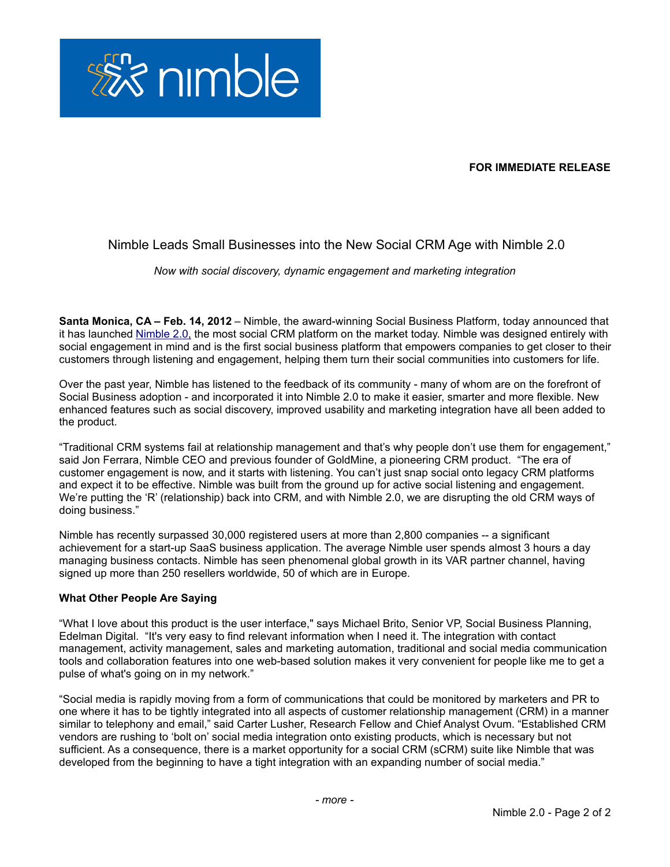

# **FOR IMMEDIATE RELEASE**

# Nimble Leads Small Businesses into the New Social CRM Age with Nimble 2.0

*Now with social discovery, dynamic engagement and marketing integration*

**Santa Monica, CA – Feb. 14, 2012** – Nimble, the award-winning Social Business Platform, today announced that it has launched [Nimble 2.0,](http://www.nimble.com/whats-new-in-nimble-2-0/) the most social CRM platform on the market today. Nimble was designed entirely with social engagement in mind and is the first social business platform that empowers companies to get closer to their customers through listening and engagement, helping them turn their social communities into customers for life.

Over the past year, Nimble has listened to the feedback of its community - many of whom are on the forefront of Social Business adoption - and incorporated it into Nimble 2.0 to make it easier, smarter and more flexible. New enhanced features such as social discovery, improved usability and marketing integration have all been added to the product.

"Traditional CRM systems fail at relationship management and that's why people don't use them for engagement," said Jon Ferrara, Nimble CEO and previous founder of GoldMine, a pioneering CRM product. "The era of customer engagement is now, and it starts with listening. You can't just snap social onto legacy CRM platforms and expect it to be effective. Nimble was built from the ground up for active social listening and engagement. We're putting the 'R' (relationship) back into CRM, and with Nimble 2.0, we are disrupting the old CRM ways of doing business."

Nimble has recently surpassed 30,000 registered users at more than 2,800 companies -- a significant achievement for a start-up SaaS business application. The average Nimble user spends almost 3 hours a day managing business contacts. Nimble has seen phenomenal global growth in its VAR partner channel, having signed up more than 250 resellers worldwide, 50 of which are in Europe.

#### **What Other People Are Saying**

"What I love about this product is the user interface," says Michael Brito, Senior VP, Social Business Planning, Edelman Digital. "It's very easy to find relevant information when I need it. The integration with contact management, activity management, sales and marketing automation, traditional and social media communication tools and collaboration features into one web-based solution makes it very convenient for people like me to get a pulse of what's going on in my network."

"Social media is rapidly moving from a form of communications that could be monitored by marketers and PR to one where it has to be tightly integrated into all aspects of customer relationship management (CRM) in a manner similar to telephony and email," said Carter Lusher, Research Fellow and Chief Analyst Ovum. "Established CRM vendors are rushing to 'bolt on' social media integration onto existing products, which is necessary but not sufficient. As a consequence, there is a market opportunity for a social CRM (sCRM) suite like Nimble that was developed from the beginning to have a tight integration with an expanding number of social media."